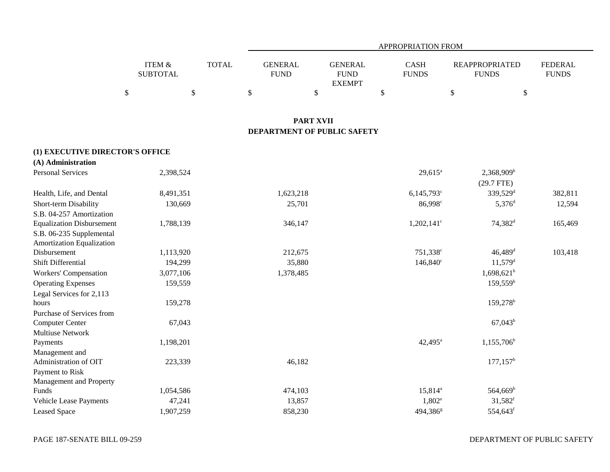|                                                       |                                              |           |              |              |                               |                  |                                                |      | APPROPRIATION FROM          |                                             |      |                                |
|-------------------------------------------------------|----------------------------------------------|-----------|--------------|--------------|-------------------------------|------------------|------------------------------------------------|------|-----------------------------|---------------------------------------------|------|--------------------------------|
|                                                       | <b>ITEM &amp;</b><br><b>SUBTOTAL</b><br>$\$$ | $\$$      | <b>TOTAL</b> | $\mathbb{S}$ | <b>GENERAL</b><br><b>FUND</b> | $\$\,$           | <b>GENERAL</b><br><b>FUND</b><br><b>EXEMPT</b> | $\$$ | <b>CASH</b><br><b>FUNDS</b> | <b>REAPPROPRIATED</b><br><b>FUNDS</b><br>\$ | $\$$ | <b>FEDERAL</b><br><b>FUNDS</b> |
|                                                       |                                              |           |              |              |                               |                  |                                                |      |                             |                                             |      |                                |
|                                                       |                                              |           |              |              |                               | <b>PART XVII</b> |                                                |      |                             |                                             |      |                                |
|                                                       |                                              |           |              |              |                               |                  | DEPARTMENT OF PUBLIC SAFETY                    |      |                             |                                             |      |                                |
| (1) EXECUTIVE DIRECTOR'S OFFICE                       |                                              |           |              |              |                               |                  |                                                |      |                             |                                             |      |                                |
| (A) Administration                                    |                                              |           |              |              |                               |                  |                                                |      |                             |                                             |      |                                |
| <b>Personal Services</b>                              |                                              | 2,398,524 |              |              |                               |                  |                                                |      | $29,615^a$                  | 2,368,909 <sup>b</sup><br>$(29.7$ FTE)      |      |                                |
| Health, Life, and Dental                              |                                              | 8,491,351 |              |              | 1,623,218                     |                  |                                                |      | $6,145,793$ °               | 339,529 <sup>d</sup>                        |      | 382,811                        |
| Short-term Disability                                 |                                              | 130,669   |              |              | 25,701                        |                  |                                                |      | 86,998 <sup>c</sup>         | $5,376$ <sup>d</sup>                        |      | 12,594                         |
| S.B. 04-257 Amortization                              |                                              |           |              |              |                               |                  |                                                |      |                             |                                             |      |                                |
| <b>Equalization Disbursement</b>                      |                                              | 1,788,139 |              |              | 346,147                       |                  |                                                |      | $1,202,141^{\circ}$         | $74,382$ <sup>d</sup>                       |      | 165,469                        |
| S.B. 06-235 Supplemental<br>Amortization Equalization |                                              |           |              |              |                               |                  |                                                |      |                             |                                             |      |                                |
| Disbursement                                          |                                              | 1,113,920 |              |              | 212,675                       |                  |                                                |      | 751,338 <sup>c</sup>        | $46,489$ <sup>d</sup>                       |      | 103,418                        |
| Shift Differential                                    |                                              | 194,299   |              |              | 35,880                        |                  |                                                |      | $146,840^{\circ}$           | $11,579$ <sup>d</sup>                       |      |                                |
| <b>Workers' Compensation</b>                          |                                              | 3,077,106 |              |              | 1,378,485                     |                  |                                                |      |                             | $1,698,621^b$                               |      |                                |
| <b>Operating Expenses</b>                             |                                              | 159,559   |              |              |                               |                  |                                                |      |                             | $159,559^{\rm b}$                           |      |                                |
| Legal Services for 2,113                              |                                              |           |              |              |                               |                  |                                                |      |                             |                                             |      |                                |
| hours                                                 |                                              | 159,278   |              |              |                               |                  |                                                |      |                             | 159,278 <sup>b</sup>                        |      |                                |
| Purchase of Services from                             |                                              |           |              |              |                               |                  |                                                |      |                             |                                             |      |                                |
| Computer Center                                       |                                              | 67,043    |              |              |                               |                  |                                                |      |                             | $67,043^b$                                  |      |                                |
| <b>Multiuse Network</b>                               |                                              |           |              |              |                               |                  |                                                |      |                             |                                             |      |                                |
| Payments                                              |                                              | 1,198,201 |              |              |                               |                  |                                                |      | $42,495^{\circ}$            | $1,155,706^b$                               |      |                                |
| Management and                                        |                                              |           |              |              |                               |                  |                                                |      |                             |                                             |      |                                |
| Administration of OIT                                 |                                              | 223,339   |              |              | 46,182                        |                  |                                                |      |                             | $177, 157^{\rm b}$                          |      |                                |
| Payment to Risk                                       |                                              |           |              |              |                               |                  |                                                |      |                             |                                             |      |                                |
| Management and Property                               |                                              |           |              |              |                               |                  |                                                |      |                             |                                             |      |                                |
| Funds                                                 |                                              | 1,054,586 |              |              | 474,103                       |                  |                                                |      | $15,814^a$                  | $564,669^b$                                 |      |                                |
| Vehicle Lease Payments                                |                                              | 47,241    |              |              | 13,857                        |                  |                                                |      | $1,802^e$                   | $31,582$ <sup>f</sup>                       |      |                                |
| <b>Leased Space</b>                                   |                                              | 1,907,259 |              |              | 858,230                       |                  |                                                |      | 494,386 <sup>g</sup>        | 554,643 <sup>f</sup>                        |      |                                |

DEPARTMENT OF PUBLIC SAFETY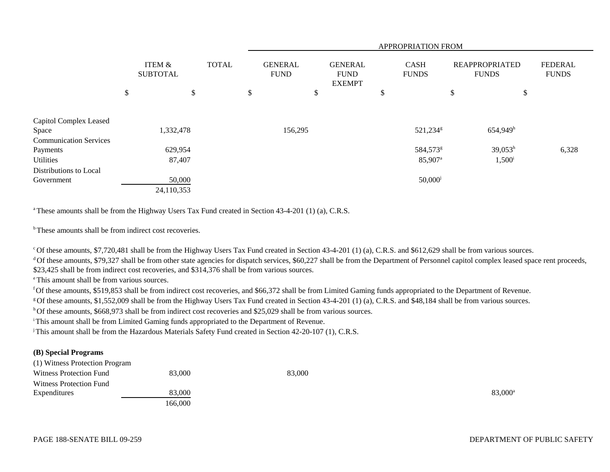|                                        |                           |              | APPROPRIATION FROM |                               |    |                                                |    |                             |    |                                       |                                |
|----------------------------------------|---------------------------|--------------|--------------------|-------------------------------|----|------------------------------------------------|----|-----------------------------|----|---------------------------------------|--------------------------------|
|                                        | ITEM &<br><b>SUBTOTAL</b> | <b>TOTAL</b> |                    | <b>GENERAL</b><br><b>FUND</b> |    | <b>GENERAL</b><br><b>FUND</b><br><b>EXEMPT</b> |    | <b>CASH</b><br><b>FUNDS</b> |    | <b>REAPPROPRIATED</b><br><b>FUNDS</b> | <b>FEDERAL</b><br><b>FUNDS</b> |
|                                        | \$<br>\$                  |              | \$                 |                               | \$ |                                                | \$ |                             | \$ | \$                                    |                                |
| Capitol Complex Leased                 |                           |              |                    |                               |    |                                                |    |                             |    |                                       |                                |
| Space<br><b>Communication Services</b> | 1,332,478                 |              |                    | 156,295                       |    |                                                |    | 521,234 <sup>g</sup>        |    | 654,949h                              |                                |
| Payments                               | 629,954                   |              |                    |                               |    |                                                |    | 584,573 <sup>g</sup>        |    | $39,053^h$                            | 6,328                          |
| Utilities                              | 87,407                    |              |                    |                               |    |                                                |    | 85,907 <sup>a</sup>         |    | $1,500^{\rm i}$                       |                                |
| Distributions to Local                 |                           |              |                    |                               |    |                                                |    |                             |    |                                       |                                |
| Government                             | 50,000                    |              |                    |                               |    |                                                |    | $50,000$ <sup>j</sup>       |    |                                       |                                |
|                                        | 24,110,353                |              |                    |                               |    |                                                |    |                             |    |                                       |                                |

<sup>a</sup> These amounts shall be from the Highway Users Tax Fund created in Section 43-4-201 (1) (a), C.R.S.

<sup>b</sup> These amounts shall be from indirect cost recoveries.

c Of these amounts, \$7,720,481 shall be from the Highway Users Tax Fund created in Section 43-4-201 (1) (a), C.R.S. and \$612,629 shall be from various sources.

<sup>d</sup> Of these amounts, \$79,327 shall be from other state agencies for dispatch services, \$60,227 shall be from the Department of Personnel capitol complex leased space rent proceeds, \$23,425 shall be from indirect cost recoveries, and \$314,376 shall be from various sources.

e This amount shall be from various sources.

f Of these amounts, \$519,853 shall be from indirect cost recoveries, and \$66,372 shall be from Limited Gaming funds appropriated to the Department of Revenue.

g Of these amounts, \$1,552,009 shall be from the Highway Users Tax Fund created in Section 43-4-201 (1) (a), C.R.S. and \$48,184 shall be from various sources.

h Of these amounts, \$668,973 shall be from indirect cost recoveries and \$25,029 shall be from various sources.

<sup>i</sup> This amount shall be from Limited Gaming funds appropriated to the Department of Revenue.

j This amount shall be from the Hazardous Materials Safety Fund created in Section 42-20-107 (1), C.R.S.

## **(B) Special Programs**

(1) Witness Protection Program

| Witness Protection Fund | 83,000  | 83,000 |                     |
|-------------------------|---------|--------|---------------------|
| Witness Protection Fund |         |        |                     |
| Expenditures            | 83,000  |        | 83,000 <sup>a</sup> |
|                         | 166.000 |        |                     |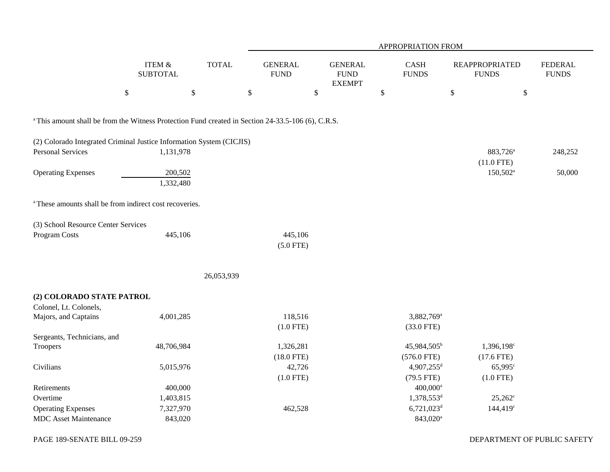|                                                                                                               |                           |              |                               |                                                | APPROPRIATION FROM        |                                       |                                |
|---------------------------------------------------------------------------------------------------------------|---------------------------|--------------|-------------------------------|------------------------------------------------|---------------------------|---------------------------------------|--------------------------------|
|                                                                                                               | ITEM &<br><b>SUBTOTAL</b> | <b>TOTAL</b> | <b>GENERAL</b><br><b>FUND</b> | <b>GENERAL</b><br><b>FUND</b><br><b>EXEMPT</b> | CASH<br><b>FUNDS</b>      | <b>REAPPROPRIATED</b><br><b>FUNDS</b> | <b>FEDERAL</b><br><b>FUNDS</b> |
|                                                                                                               | $\$$                      | $\mathbb{S}$ | \$                            | \$                                             | $\boldsymbol{\mathsf{S}}$ | \$<br>$\$\,$                          |                                |
| <sup>a</sup> This amount shall be from the Witness Protection Fund created in Section 24-33.5-106 (6), C.R.S. |                           |              |                               |                                                |                           |                                       |                                |
| (2) Colorado Integrated Criminal Justice Information System (CICJIS)                                          |                           |              |                               |                                                |                           |                                       |                                |
| <b>Personal Services</b>                                                                                      | 1,131,978                 |              |                               |                                                |                           | 883,726 <sup>a</sup><br>$(11.0$ FTE)  | 248,252                        |
| <b>Operating Expenses</b>                                                                                     | 200,502<br>1,332,480      |              |                               |                                                |                           | $150,502^{\text{a}}$                  | 50,000                         |
| <sup>a</sup> These amounts shall be from indirect cost recoveries.                                            |                           |              |                               |                                                |                           |                                       |                                |
| (3) School Resource Center Services                                                                           |                           |              |                               |                                                |                           |                                       |                                |
| <b>Program Costs</b>                                                                                          | 445,106                   |              | 445,106<br>$(5.0$ FTE)        |                                                |                           |                                       |                                |
|                                                                                                               |                           | 26,053,939   |                               |                                                |                           |                                       |                                |
| (2) COLORADO STATE PATROL                                                                                     |                           |              |                               |                                                |                           |                                       |                                |
| Colonel, Lt. Colonels,                                                                                        |                           |              |                               |                                                |                           |                                       |                                |
| Majors, and Captains                                                                                          | 4,001,285                 |              | 118,516                       |                                                | 3,882,769 <sup>a</sup>    |                                       |                                |
|                                                                                                               |                           |              | $(1.0$ FTE)                   |                                                | $(33.0$ FTE)              |                                       |                                |
| Sergeants, Technicians, and                                                                                   |                           |              |                               |                                                |                           |                                       |                                |
| Troopers                                                                                                      | 48,706,984                |              | 1,326,281                     |                                                | 45,984,505 <sup>b</sup>   | 1,396,198 <sup>c</sup>                |                                |
|                                                                                                               |                           |              | $(18.0$ FTE)                  |                                                | $(576.0$ FTE)             | $(17.6$ FTE)                          |                                |
| Civilians                                                                                                     | 5,015,976                 |              | 42,726                        |                                                | 4,907,255 <sup>d</sup>    | $65,995^{\circ}$                      |                                |
|                                                                                                               |                           |              | $(1.0$ FTE)                   |                                                | $(79.5$ FTE)              | $(1.0$ FTE)                           |                                |
| Retirements                                                                                                   | 400,000                   |              |                               |                                                | $400,000$ <sup>a</sup>    |                                       |                                |
| Overtime                                                                                                      | 1,403,815                 |              |                               |                                                | 1,378,553 <sup>d</sup>    | $25,262^{\circ}$                      |                                |
| <b>Operating Expenses</b>                                                                                     | 7,327,970                 |              | 462,528                       |                                                | $6,721,023$ <sup>d</sup>  | $144,419$ <sup>c</sup>                |                                |
| <b>MDC</b> Asset Maintenance                                                                                  | 843,020                   |              |                               |                                                | 843,020 <sup>a</sup>      |                                       |                                |

PAGE 189-SENATE BILL 09-259

DEPARTMENT OF PUBLIC SAFETY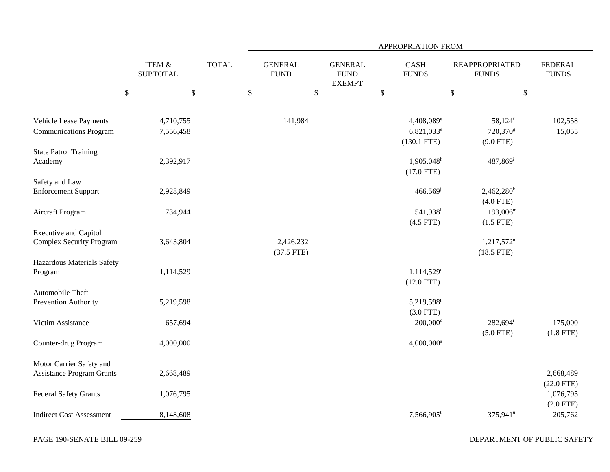|                                                                 |                                      |              | APPROPRIATION FROM |                               |                                                |              |                                                                   |                                                              |                                |  |  |
|-----------------------------------------------------------------|--------------------------------------|--------------|--------------------|-------------------------------|------------------------------------------------|--------------|-------------------------------------------------------------------|--------------------------------------------------------------|--------------------------------|--|--|
|                                                                 | <b>ITEM &amp;</b><br><b>SUBTOTAL</b> | <b>TOTAL</b> |                    | <b>GENERAL</b><br><b>FUND</b> | <b>GENERAL</b><br><b>FUND</b><br><b>EXEMPT</b> |              | <b>CASH</b><br><b>FUNDS</b>                                       | <b>REAPPROPRIATED</b><br><b>FUNDS</b>                        | <b>FEDERAL</b><br><b>FUNDS</b> |  |  |
|                                                                 | $\mathbb{S}$<br>\$                   |              | $\$$               |                               | $\$$                                           | $\mathbb{S}$ |                                                                   | $\mathbb{S}$                                                 | $\$$                           |  |  |
| Vehicle Lease Payments<br><b>Communications Program</b>         | 4,710,755<br>7,556,458               |              |                    | 141,984                       |                                                |              | 4,408,089 <sup>e</sup><br>6,821,033 <sup>e</sup><br>$(130.1$ FTE) | $58,124$ <sup>f</sup><br>720,370 <sup>g</sup><br>$(9.0$ FTE) | 102,558<br>15,055              |  |  |
| <b>State Patrol Training</b><br>Academy                         | 2,392,917                            |              |                    |                               |                                                |              | $1,905,048$ <sup>h</sup><br>$(17.0$ FTE)                          | 487,869 <sup>i</sup>                                         |                                |  |  |
| Safety and Law<br><b>Enforcement Support</b>                    | 2,928,849                            |              |                    |                               |                                                |              | 466,569                                                           | $2,462,280^k$<br>$(4.0$ FTE)                                 |                                |  |  |
| Aircraft Program                                                | 734,944                              |              |                    |                               |                                                |              | 541,938 <sup>1</sup><br>$(4.5$ FTE)                               | $193,006^m$<br>$(1.5$ FTE)                                   |                                |  |  |
| <b>Executive and Capitol</b><br><b>Complex Security Program</b> | 3,643,804                            |              |                    | 2,426,232<br>$(37.5$ FTE)     |                                                |              |                                                                   | $1,217,572$ <sup>n</sup><br>$(18.5$ FTE)                     |                                |  |  |
| Hazardous Materials Safety<br>Program                           | 1,114,529                            |              |                    |                               |                                                |              | 1,114,529°<br>$(12.0$ FTE)                                        |                                                              |                                |  |  |
| Automobile Theft<br>Prevention Authority                        | 5,219,598                            |              |                    |                               |                                                |              | 5,219,598 <sup>p</sup><br>$(3.0$ FTE)                             |                                                              |                                |  |  |
| Victim Assistance                                               | 657,694                              |              |                    |                               |                                                |              | 200,000 <sup>q</sup>                                              | 282,694 <sup>r</sup><br>$(5.0$ FTE)                          | 175,000<br>$(1.8$ FTE)         |  |  |
| Counter-drug Program                                            | 4,000,000                            |              |                    |                               |                                                |              | $4,000,000$ <sup>s</sup>                                          |                                                              |                                |  |  |
| Motor Carrier Safety and<br><b>Assistance Program Grants</b>    | 2,668,489                            |              |                    |                               |                                                |              |                                                                   |                                                              | 2,668,489<br>$(22.0$ FTE)      |  |  |
| <b>Federal Safety Grants</b>                                    | 1,076,795                            |              |                    |                               |                                                |              |                                                                   |                                                              | 1,076,795<br>$(2.0$ FTE)       |  |  |
| <b>Indirect Cost Assessment</b>                                 | 8,148,608                            |              |                    |                               |                                                |              | $7,566,905$ <sup>t</sup>                                          | 375,941 <sup>u</sup>                                         | 205,762                        |  |  |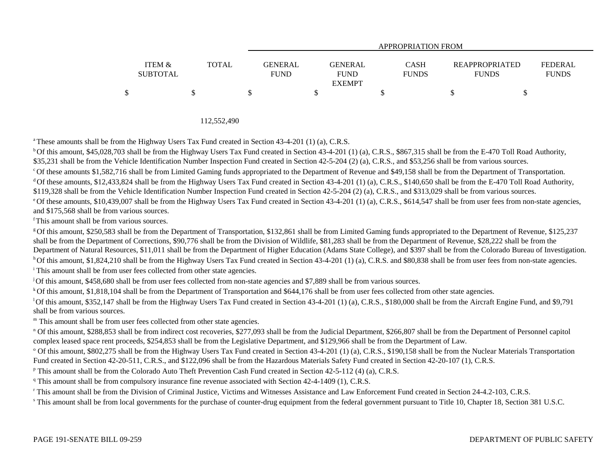|                   |       |                | APPROPRIATION FROM           |              |                       |                |  |  |  |  |  |
|-------------------|-------|----------------|------------------------------|--------------|-----------------------|----------------|--|--|--|--|--|
| <b>ITEM &amp;</b> | TOTAL | <b>GENERAL</b> | GENERAL                      | <b>CASH</b>  | <b>REAPPROPRIATED</b> | <b>FEDERAL</b> |  |  |  |  |  |
| <b>SUBTOTAL</b>   |       | <b>FUND</b>    | <b>FUND</b><br><b>EXEMPT</b> | <b>FUNDS</b> | <b>FUNDS</b>          | <b>FUNDS</b>   |  |  |  |  |  |
|                   |       |                |                              |              |                       |                |  |  |  |  |  |

112,552,490

a These amounts shall be from the Highway Users Tax Fund created in Section 43-4-201 (1) (a), C.R.S.

<sup>b</sup> Of this amount, \$45,028,703 shall be from the Highway Users Tax Fund created in Section 43-4-201 (1) (a), C.R.S., \$867,315 shall be from the E-470 Toll Road Authority, \$35,231 shall be from the Vehicle Identification Number Inspection Fund created in Section 42-5-204 (2) (a), C.R.S., and \$53,256 shall be from various sources.

<sup>c</sup> Of these amounts \$1,582,716 shall be from Limited Gaming funds appropriated to the Department of Revenue and \$49,158 shall be from the Department of Transportation.

<sup>d</sup> Of these amounts, \$12,433,824 shall be from the Highway Users Tax Fund created in Section 43-4-201 (1) (a), C.R.S., \$140,650 shall be from the E-470 Toll Road Authority, \$119,328 shall be from the Vehicle Identification Number Inspection Fund created in Section 42-5-204 (2) (a), C.R.S., and \$313,029 shall be from various sources.

<sup>e</sup> Of these amounts, \$10,439,007 shall be from the Highway Users Tax Fund created in Section 43-4-201 (1) (a), C.R.S., \$614,547 shall be from user fees from non-state agencies, and \$175,568 shall be from various sources.

f This amount shall be from various sources.

g Of this amount, \$250,583 shall be from the Department of Transportation, \$132,861 shall be from Limited Gaming funds appropriated to the Department of Revenue, \$125,237 shall be from the Department of Corrections, \$90,776 shall be from the Division of Wildlife, \$81,283 shall be from the Department of Revenue, \$28,222 shall be from the Department of Natural Resources, \$11,011 shall be from the Department of Higher Education (Adams State College), and \$397 shall be from the Colorado Bureau of Investigation. <sup>h</sup> Of this amount, \$1,824,210 shall be from the Highway Users Tax Fund created in Section 43-4-201 (1) (a), C.R.S. and \$80,838 shall be from user fees from non-state agencies.

<sup>i</sup> This amount shall be from user fees collected from other state agencies.

j Of this amount, \$458,680 shall be from user fees collected from non-state agencies and \$7,889 shall be from various sources.

<sup>k</sup> Of this amount, \$1,818,104 shall be from the Department of Transportation and \$644,176 shall be from user fees collected from other state agencies.

<sup>1</sup>Of this amount, \$352,147 shall be from the Highway Users Tax Fund created in Section 43-4-201 (1) (a), C.R.S., \$180,000 shall be from the Aircraft Engine Fund, and \$9,791 shall be from various sources.

m This amount shall be from user fees collected from other state agencies.

<sup>n</sup> Of this amount, \$288,853 shall be from indirect cost recoveries, \$277,093 shall be from the Judicial Department, \$266,807 shall be from the Department of Personnel capitol complex leased space rent proceeds, \$254,853 shall be from the Legislative Department, and \$129,966 shall be from the Department of Law.

<sup>o</sup> Of this amount, \$802,275 shall be from the Highway Users Tax Fund created in Section 43-4-201 (1) (a), C.R.S., \$190,158 shall be from the Nuclear Materials Transportation Fund created in Section 42-20-511, C.R.S., and \$122,096 shall be from the Hazardous Materials Safety Fund created in Section 42-20-107 (1), C.R.S.

p This amount shall be from the Colorado Auto Theft Prevention Cash Fund created in Section 42-5-112 (4) (a), C.R.S.

<sup>q</sup> This amount shall be from compulsory insurance fine revenue associated with Section 42-4-1409 (1), C.R.S.

r This amount shall be from the Division of Criminal Justice, Victims and Witnesses Assistance and Law Enforcement Fund created in Section 24-4.2-103, C.R.S.

s This amount shall be from local governments for the purchase of counter-drug equipment from the federal government pursuant to Title 10, Chapter 18, Section 381 U.S.C.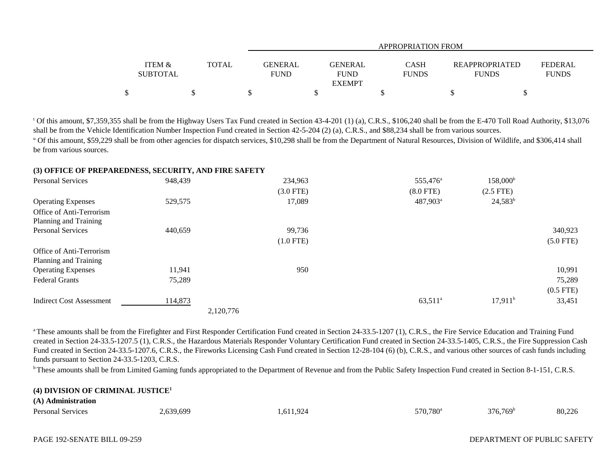|                                      |              | APPROPRIATION FROM                                             |                      |                                       |                                |  |  |  |  |  |
|--------------------------------------|--------------|----------------------------------------------------------------|----------------------|---------------------------------------|--------------------------------|--|--|--|--|--|
| <b>ITEM &amp;</b><br><b>SUBTOTAL</b> | <b>TOTAL</b> | <b>GENERAL</b><br><b>GENERAL</b><br><b>FUND</b><br><b>FUND</b> | CASH<br><b>FUNDS</b> | <b>REAPPROPRIATED</b><br><b>FUNDS</b> | <b>FEDERAL</b><br><b>FUNDS</b> |  |  |  |  |  |
|                                      |              | <b>EXEMPT</b>                                                  |                      |                                       |                                |  |  |  |  |  |
| Φ                                    |              |                                                                |                      |                                       |                                |  |  |  |  |  |

t Of this amount, \$7,359,355 shall be from the Highway Users Tax Fund created in Section 43-4-201 (1) (a), C.R.S., \$106,240 shall be from the E-470 Toll Road Authority, \$13,076 shall be from the Vehicle Identification Number Inspection Fund created in Section 42-5-204 (2) (a), C.R.S., and \$88,234 shall be from various sources.

<sup>u</sup> Of this amount, \$59,229 shall be from other agencies for dispatch services, \$10,298 shall be from the Department of Natural Resources, Division of Wildlife, and \$306,414 shall be from various sources.

### **(3) OFFICE OF PREPAREDNESS, SECURITY, AND FIRE SAFETY**

| <b>Personal Services</b>        | 948,439   | 234,963     | 555,476 <sup>a</sup> | $158,000^{\rm b}$ |             |
|---------------------------------|-----------|-------------|----------------------|-------------------|-------------|
|                                 |           | $(3.0$ FTE) | $(8.0$ FTE)          | $(2.5$ FTE)       |             |
| <b>Operating Expenses</b>       | 529,575   | 17,089      | 487,903 <sup>a</sup> | $24,583^b$        |             |
| Office of Anti-Terrorism        |           |             |                      |                   |             |
| Planning and Training           |           |             |                      |                   |             |
| <b>Personal Services</b>        | 440,659   | 99,736      |                      |                   | 340,923     |
|                                 |           | $(1.0$ FTE) |                      |                   | $(5.0$ FTE) |
| Office of Anti-Terrorism        |           |             |                      |                   |             |
| Planning and Training           |           |             |                      |                   |             |
| <b>Operating Expenses</b>       | 11,941    | 950         |                      |                   | 10,991      |
| <b>Federal Grants</b>           | 75,289    |             |                      |                   | 75,289      |
|                                 |           |             |                      |                   | $(0.5$ FTE) |
| <b>Indirect Cost Assessment</b> | 114,873   |             | $63,511^a$           | $17,911^b$        | 33,451      |
|                                 | 2,120,776 |             |                      |                   |             |

<sup>a</sup> These amounts shall be from the Firefighter and First Responder Certification Fund created in Section 24-33.5-1207 (1), C.R.S., the Fire Service Education and Training Fund created in Section 24-33.5-1207.5 (1), C.R.S., the Hazardous Materials Responder Voluntary Certification Fund created in Section 24-33.5-1405, C.R.S., the Fire Suppression Cash Fund created in Section 24-33.5-1207.6, C.R.S., the Fireworks Licensing Cash Fund created in Section 12-28-104 (6) (b), C.R.S., and various other sources of cash funds including funds pursuant to Section 24-33.5-1203, C.R.S.

<sup>b</sup> These amounts shall be from Limited Gaming funds appropriated to the Department of Revenue and from the Public Safety Inspection Fund created in Section 8-1-151, C.R.S.

### **(4) DIVISION OF CRIMINAL JUSTICE<sup>1</sup>**

#### **(A) Administration**

| <b>Personal Services</b> | 600<br>$\sim$ $\sim$<br>$\sim$ | $\Omega$<br>.01<br>. | 570.780 <sup>a</sup><br>770. | $376.769^b$ | 90.226<br>$\overline{\phantom{a}}$<br>00.220 |
|--------------------------|--------------------------------|----------------------|------------------------------|-------------|----------------------------------------------|
|--------------------------|--------------------------------|----------------------|------------------------------|-------------|----------------------------------------------|

### DEPARTMENT OF PUBLIC SAFETY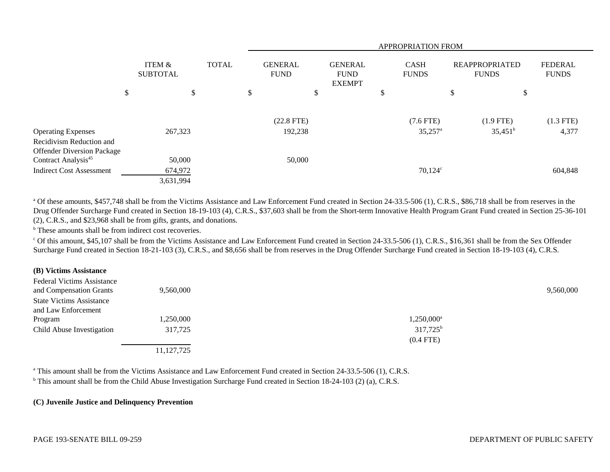|                                                               |                           |              | <b>APPROPRIATION FROM</b> |                               |                                                |                             |                                      |                                       |                                |  |
|---------------------------------------------------------------|---------------------------|--------------|---------------------------|-------------------------------|------------------------------------------------|-----------------------------|--------------------------------------|---------------------------------------|--------------------------------|--|
|                                                               | ITEM &<br><b>SUBTOTAL</b> | <b>TOTAL</b> |                           | <b>GENERAL</b><br><b>FUND</b> | <b>GENERAL</b><br><b>FUND</b><br><b>EXEMPT</b> | <b>CASH</b><br><b>FUNDS</b> |                                      | <b>REAPPROPRIATED</b><br><b>FUNDS</b> | <b>FEDERAL</b><br><b>FUNDS</b> |  |
|                                                               | \$                        | \$           | \$                        | \$                            |                                                | \$                          |                                      | \$                                    | \$                             |  |
| <b>Operating Expenses</b>                                     | 267,323                   |              |                           | $(22.8$ FTE)<br>192,238       |                                                |                             | $(7.6$ FTE)<br>$35,257$ <sup>a</sup> | $(1.9$ FTE)<br>$35,451^{\rm b}$       | $(1.3$ FTE)<br>4,377           |  |
| Recidivism Reduction and<br><b>Offender Diversion Package</b> |                           |              |                           |                               |                                                |                             |                                      |                                       |                                |  |
| Contract Analysis <sup>45</sup>                               | 50,000                    |              |                           | 50,000                        |                                                |                             |                                      |                                       |                                |  |
| <b>Indirect Cost Assessment</b>                               | 674,972                   |              |                           |                               |                                                |                             | $70,124^c$                           |                                       | 604,848                        |  |
|                                                               | 3,631,994                 |              |                           |                               |                                                |                             |                                      |                                       |                                |  |

<sup>a</sup> Of these amounts, \$457,748 shall be from the Victims Assistance and Law Enforcement Fund created in Section 24-33.5-506 (1), C.R.S., \$86,718 shall be from reserves in the Drug Offender Surcharge Fund created in Section 18-19-103 (4), C.R.S., \$37,603 shall be from the Short-term Innovative Health Program Grant Fund created in Section 25-36-101 (2), C.R.S., and \$23,968 shall be from gifts, grants, and donations.

<sup>b</sup> These amounts shall be from indirect cost recoveries.

<sup>c</sup> Of this amount, \$45,107 shall be from the Victims Assistance and Law Enforcement Fund created in Section 24-33.5-506 (1), C.R.S., \$16,361 shall be from the Sex Offender Surcharge Fund created in Section 18-21-103 (3), C.R.S., and \$8,656 shall be from reserves in the Drug Offender Surcharge Fund created in Section 18-19-103 (4), C.R.S.

### **(B) Victims Assistance**

| <b>Federal Victims Assistance</b> |              |                        |           |
|-----------------------------------|--------------|------------------------|-----------|
| and Compensation Grants           | 9,560,000    |                        | 9,560,000 |
| <b>State Victims Assistance</b>   |              |                        |           |
| and Law Enforcement               |              |                        |           |
| Program                           | 1,250,000    | 1,250,000 <sup>a</sup> |           |
| Child Abuse Investigation         | 317,725      | $317,725^{\rm b}$      |           |
|                                   |              | $(0.4$ FTE)            |           |
|                                   | 11, 127, 725 |                        |           |

<sup>a</sup> This amount shall be from the Victims Assistance and Law Enforcement Fund created in Section 24-33.5-506 (1), C.R.S.

<sup>b</sup> This amount shall be from the Child Abuse Investigation Surcharge Fund created in Section 18-24-103 (2) (a), C.R.S.

# **(C) Juvenile Justice and Delinquency Prevention**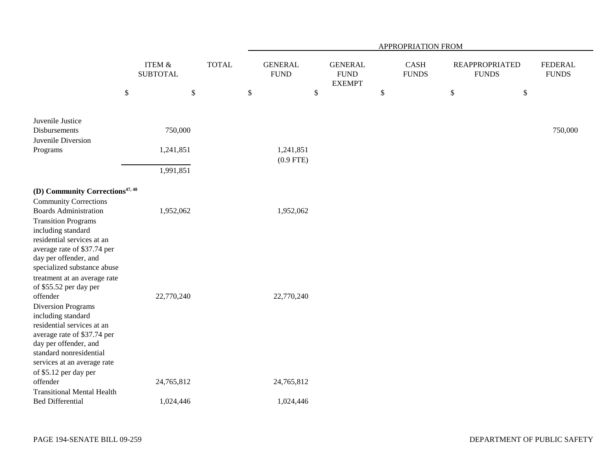|                                                                                                                                                                                                                                                                                                                                                |                           |              | APPROPRIATION FROM            |                                                |                             |                                       |                                |  |  |  |  |
|------------------------------------------------------------------------------------------------------------------------------------------------------------------------------------------------------------------------------------------------------------------------------------------------------------------------------------------------|---------------------------|--------------|-------------------------------|------------------------------------------------|-----------------------------|---------------------------------------|--------------------------------|--|--|--|--|
|                                                                                                                                                                                                                                                                                                                                                | ITEM &<br><b>SUBTOTAL</b> | <b>TOTAL</b> | <b>GENERAL</b><br><b>FUND</b> | <b>GENERAL</b><br><b>FUND</b><br><b>EXEMPT</b> | <b>CASH</b><br><b>FUNDS</b> | <b>REAPPROPRIATED</b><br><b>FUNDS</b> | <b>FEDERAL</b><br><b>FUNDS</b> |  |  |  |  |
| $\$\,$                                                                                                                                                                                                                                                                                                                                         | $\$$                      |              | $\mathbb{S}$                  | \$                                             | $\$$                        | $\mathbb{S}$                          | $\$$                           |  |  |  |  |
| Juvenile Justice<br>Disbursements<br>Juvenile Diversion<br>Programs                                                                                                                                                                                                                                                                            | 750,000<br>1,241,851      |              | 1,241,851<br>$(0.9$ FTE)      |                                                |                             |                                       | 750,000                        |  |  |  |  |
|                                                                                                                                                                                                                                                                                                                                                | 1,991,851                 |              |                               |                                                |                             |                                       |                                |  |  |  |  |
| (D) Community Corrections <sup>47, 48</sup><br><b>Community Corrections</b><br><b>Boards Administration</b><br><b>Transition Programs</b><br>including standard<br>residential services at an<br>average rate of \$37.74 per<br>day per offender, and<br>specialized substance abuse<br>treatment at an average rate<br>of \$55.52 per day per | 1,952,062                 |              | 1,952,062                     |                                                |                             |                                       |                                |  |  |  |  |
| offender<br><b>Diversion Programs</b><br>including standard<br>residential services at an<br>average rate of \$37.74 per<br>day per offender, and<br>standard nonresidential<br>services at an average rate<br>of \$5.12 per day per<br>offender                                                                                               | 22,770,240<br>24,765,812  |              | 22,770,240<br>24,765,812      |                                                |                             |                                       |                                |  |  |  |  |
| <b>Transitional Mental Health</b><br><b>Bed Differential</b>                                                                                                                                                                                                                                                                                   | 1,024,446                 |              | 1,024,446                     |                                                |                             |                                       |                                |  |  |  |  |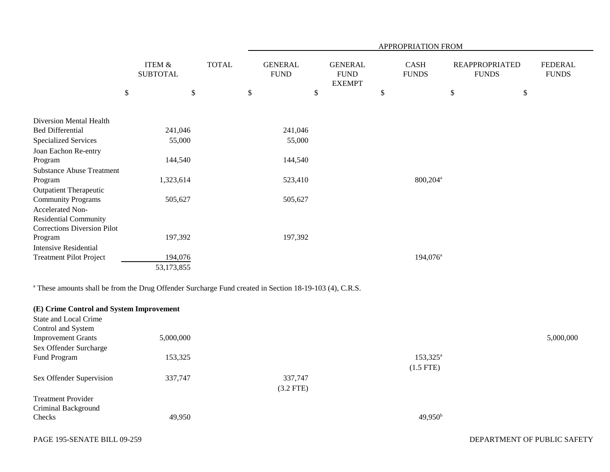|                                                                    |                                      |        |              |                               |                           |                                                 | APPROPRIATION FROM   |        |                                       |                                |
|--------------------------------------------------------------------|--------------------------------------|--------|--------------|-------------------------------|---------------------------|-------------------------------------------------|----------------------|--------|---------------------------------------|--------------------------------|
|                                                                    | <b>ITEM &amp;</b><br><b>SUBTOTAL</b> |        | <b>TOTAL</b> | <b>GENERAL</b><br><b>FUND</b> |                           | <b>GENERAL</b><br>${\rm FUND}$<br><b>EXEMPT</b> | CASH<br><b>FUNDS</b> |        | <b>REAPPROPRIATED</b><br><b>FUNDS</b> | <b>FEDERAL</b><br><b>FUNDS</b> |
|                                                                    | \$                                   | $\$\,$ |              | \$                            | $\boldsymbol{\mathsf{S}}$ |                                                 | \$                   | $\$\,$ | \$                                    |                                |
| Diversion Mental Health                                            |                                      |        |              |                               |                           |                                                 |                      |        |                                       |                                |
| <b>Bed Differential</b>                                            | 241,046                              |        |              | 241,046                       |                           |                                                 |                      |        |                                       |                                |
| <b>Specialized Services</b>                                        | 55,000                               |        |              | 55,000                        |                           |                                                 |                      |        |                                       |                                |
| Joan Eachon Re-entry                                               |                                      |        |              |                               |                           |                                                 |                      |        |                                       |                                |
| Program                                                            | 144,540                              |        |              | 144,540                       |                           |                                                 |                      |        |                                       |                                |
| <b>Substance Abuse Treatment</b>                                   |                                      |        |              |                               |                           |                                                 |                      |        |                                       |                                |
| Program                                                            | 1,323,614                            |        |              | 523,410                       |                           |                                                 | 800,204 <sup>a</sup> |        |                                       |                                |
| <b>Outpatient Therapeutic</b>                                      |                                      |        |              |                               |                           |                                                 |                      |        |                                       |                                |
| <b>Community Programs</b>                                          | 505,627                              |        |              | 505,627                       |                           |                                                 |                      |        |                                       |                                |
| Accelerated Non-                                                   |                                      |        |              |                               |                           |                                                 |                      |        |                                       |                                |
| <b>Residential Community</b><br><b>Corrections Diversion Pilot</b> |                                      |        |              |                               |                           |                                                 |                      |        |                                       |                                |
| Program                                                            | 197,392                              |        |              | 197,392                       |                           |                                                 |                      |        |                                       |                                |
| <b>Intensive Residential</b>                                       |                                      |        |              |                               |                           |                                                 |                      |        |                                       |                                |
| <b>Treatment Pilot Project</b>                                     | 194,076                              |        |              |                               |                           |                                                 | 194,076 <sup>a</sup> |        |                                       |                                |
|                                                                    | 53,173,855                           |        |              |                               |                           |                                                 |                      |        |                                       |                                |
|                                                                    |                                      |        |              |                               |                           |                                                 |                      |        |                                       |                                |

a These amounts shall be from the Drug Offender Surcharge Fund created in Section 18-19-103 (4), C.R.S.

| (E) Crime Control and System Improvement |           |             |                   |           |
|------------------------------------------|-----------|-------------|-------------------|-----------|
| State and Local Crime                    |           |             |                   |           |
| Control and System                       |           |             |                   |           |
| <b>Improvement Grants</b>                | 5,000,000 |             |                   | 5,000,000 |
| Sex Offender Surcharge                   |           |             |                   |           |
| Fund Program                             | 153,325   |             | $153,325^{\rm a}$ |           |
|                                          |           |             | $(1.5$ FTE)       |           |
| Sex Offender Supervision                 | 337,747   | 337,747     |                   |           |
|                                          |           | $(3.2$ FTE) |                   |           |
| <b>Treatment Provider</b>                |           |             |                   |           |
| Criminal Background                      |           |             |                   |           |
| Checks                                   | 49,950    |             | $49,950^{\rm b}$  |           |
|                                          |           |             |                   |           |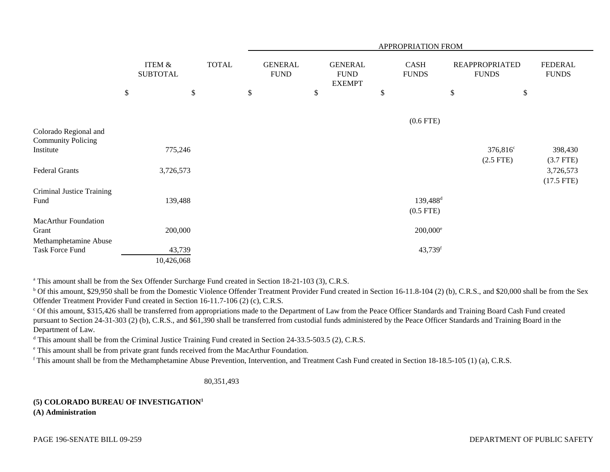|                                                    |      |                           |      |              |                               |      |                                                | APPROPRIATION FROM          |                                       |                                |
|----------------------------------------------------|------|---------------------------|------|--------------|-------------------------------|------|------------------------------------------------|-----------------------------|---------------------------------------|--------------------------------|
|                                                    |      | ITEM &<br><b>SUBTOTAL</b> |      | <b>TOTAL</b> | <b>GENERAL</b><br><b>FUND</b> |      | <b>GENERAL</b><br><b>FUND</b><br><b>EXEMPT</b> | <b>CASH</b><br><b>FUNDS</b> | <b>REAPPROPRIATED</b><br><b>FUNDS</b> | <b>FEDERAL</b><br><b>FUNDS</b> |
|                                                    | $\$$ |                           | $\$$ |              | \$                            | $\$$ |                                                | \$                          | \$                                    | \$                             |
|                                                    |      |                           |      |              |                               |      |                                                | $(0.6$ FTE)                 |                                       |                                |
| Colorado Regional and<br><b>Community Policing</b> |      |                           |      |              |                               |      |                                                |                             |                                       |                                |
| Institute                                          |      | 775,246                   |      |              |                               |      |                                                |                             | 376,816 <sup>c</sup><br>$(2.5$ FTE)   | 398,430<br>$(3.7$ FTE)         |
| <b>Federal Grants</b>                              |      | 3,726,573                 |      |              |                               |      |                                                |                             |                                       | 3,726,573<br>$(17.5$ FTE)      |
| Criminal Justice Training<br>Fund                  |      |                           |      |              |                               |      |                                                | 139,488 <sup>d</sup>        |                                       |                                |
|                                                    |      | 139,488                   |      |              |                               |      |                                                | $(0.5$ FTE)                 |                                       |                                |
| <b>MacArthur Foundation</b><br>Grant               |      | 200,000                   |      |              |                               |      |                                                | $200,000^{\circ}$           |                                       |                                |
| Methamphetamine Abuse<br>Task Force Fund           |      | 43,739                    |      |              |                               |      |                                                | 43,739f                     |                                       |                                |
|                                                    |      | 10,426,068                |      |              |                               |      |                                                |                             |                                       |                                |

<sup>a</sup> This amount shall be from the Sex Offender Surcharge Fund created in Section 18-21-103 (3), C.R.S.

<sup>b</sup> Of this amount, \$29,950 shall be from the Domestic Violence Offender Treatment Provider Fund created in Section 16-11.8-104 (2) (b), C.R.S., and \$20,000 shall be from the Sex Offender Treatment Provider Fund created in Section 16-11.7-106 (2) (c), C.R.S.

<sup>c</sup> Of this amount, \$315,426 shall be transferred from appropriations made to the Department of Law from the Peace Officer Standards and Training Board Cash Fund created pursuant to Section 24-31-303 (2) (b), C.R.S., and \$61,390 shall be transferred from custodial funds administered by the Peace Officer Standards and Training Board in the Department of Law.

<sup>d</sup> This amount shall be from the Criminal Justice Training Fund created in Section 24-33.5-503.5 (2), C.R.S.

e This amount shall be from private grant funds received from the MacArthur Foundation.

f This amount shall be from the Methamphetamine Abuse Prevention, Intervention, and Treatment Cash Fund created in Section 18-18.5-105 (1) (a), C.R.S.

80,351,493

## **(5) COLORADO BUREAU OF INVESTIGATION<sup>1</sup>**

**(A) Administration**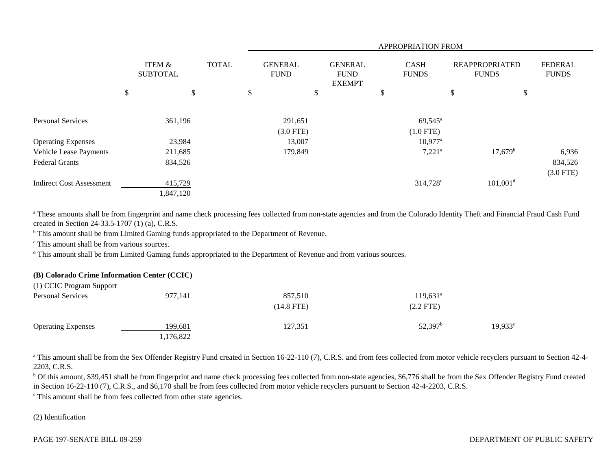|                                                        |                           |              |                               | APPROPRIATION FROM    |                                                |  |                             |                                      |                                       |                        |                                |
|--------------------------------------------------------|---------------------------|--------------|-------------------------------|-----------------------|------------------------------------------------|--|-----------------------------|--------------------------------------|---------------------------------------|------------------------|--------------------------------|
|                                                        | ITEM &<br><b>SUBTOTAL</b> | <b>TOTAL</b> | <b>GENERAL</b><br><b>FUND</b> |                       | <b>GENERAL</b><br><b>FUND</b><br><b>EXEMPT</b> |  | <b>CASH</b><br><b>FUNDS</b> |                                      | <b>REAPPROPRIATED</b><br><b>FUNDS</b> |                        | <b>FEDERAL</b><br><b>FUNDS</b> |
|                                                        | \$<br>\$                  |              | \$                            |                       | \$                                             |  | \$                          |                                      | \$                                    | \$                     |                                |
| <b>Personal Services</b>                               | 361,196                   |              |                               | 291,651               |                                                |  |                             | $69,545^{\circ}$                     |                                       |                        |                                |
| <b>Operating Expenses</b>                              | 23,984                    |              |                               | $(3.0$ FTE)<br>13,007 |                                                |  |                             | $(1.0$ FTE)<br>$10,977$ <sup>a</sup> |                                       |                        |                                |
| <b>Vehicle Lease Payments</b><br><b>Federal Grants</b> | 211,685<br>834,526        |              |                               | 179,849               |                                                |  |                             | $7,221^{\circ}$                      |                                       | $17,679^{\rm b}$       | 6,936<br>834,526               |
| <b>Indirect Cost Assessment</b>                        | 415,729<br>1,847,120      |              |                               |                       |                                                |  |                             | 314,728 <sup>c</sup>                 |                                       | $101,001$ <sup>d</sup> | $(3.0$ FTE)                    |

<sup>a</sup> These amounts shall be from fingerprint and name check processing fees collected from non-state agencies and from the Colorado Identity Theft and Financial Fraud Cash Fund created in Section 24-33.5-1707 (1) (a), C.R.S.

<sup>b</sup> This amount shall be from Limited Gaming funds appropriated to the Department of Revenue.

<sup>c</sup> This amount shall be from various sources.

<sup>d</sup> This amount shall be from Limited Gaming funds appropriated to the Department of Revenue and from various sources.

# **(B) Colorado Crime Information Center (CCIC)**

| (1) CCIC Program Support  |           |              |                     |                       |
|---------------------------|-----------|--------------|---------------------|-----------------------|
| <b>Personal Services</b>  | 977,141   | 857,510      | $119,631^{\circ}$   |                       |
|                           |           | $(14.8$ FTE) | $(2.2$ FTE)         |                       |
| <b>Operating Expenses</b> | 199,681   | 127,351      | 52,397 <sup>b</sup> | $19,933$ <sup>c</sup> |
|                           | 1,176,822 |              |                     |                       |

<sup>a</sup> This amount shall be from the Sex Offender Registry Fund created in Section 16-22-110 (7), C.R.S. and from fees collected from motor vehicle recyclers pursuant to Section 42-4-2203, C.R.S.

<sup>b</sup> Of this amount, \$39,451 shall be from fingerprint and name check processing fees collected from non-state agencies, \$6,776 shall be from the Sex Offender Registry Fund created in Section 16-22-110 (7), C.R.S., and \$6,170 shall be from fees collected from motor vehicle recyclers pursuant to Section 42-4-2203, C.R.S.

c This amount shall be from fees collected from other state agencies.

### (2) Identification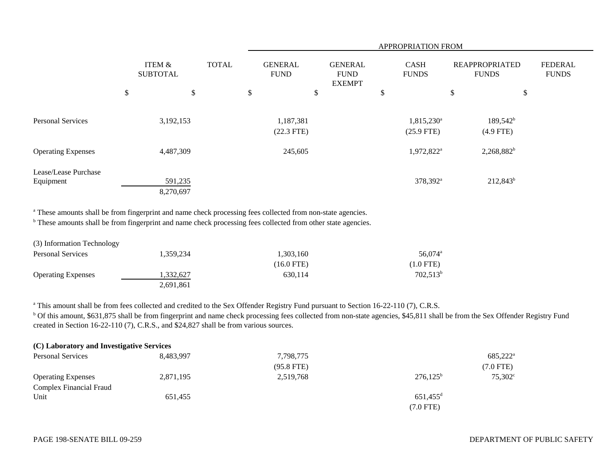|                                   |                           |                      |              |    |                               |    |                                                | APPROPRIATION FROM                     |                                       |                            |                                |
|-----------------------------------|---------------------------|----------------------|--------------|----|-------------------------------|----|------------------------------------------------|----------------------------------------|---------------------------------------|----------------------------|--------------------------------|
|                                   | ITEM &<br><b>SUBTOTAL</b> |                      | <b>TOTAL</b> |    | <b>GENERAL</b><br><b>FUND</b> |    | <b>GENERAL</b><br><b>FUND</b><br><b>EXEMPT</b> | <b>CASH</b><br><b>FUNDS</b>            | <b>REAPPROPRIATED</b><br><b>FUNDS</b> |                            | <b>FEDERAL</b><br><b>FUNDS</b> |
|                                   | \$                        | \$                   |              | \$ |                               | \$ |                                                | \$                                     | \$                                    | \$                         |                                |
| <b>Personal Services</b>          |                           | 3,192,153            |              |    | 1,187,381<br>$(22.3$ FTE)     |    |                                                | 1,815,230 <sup>a</sup><br>$(25.9$ FTE) |                                       | $189,542^b$<br>$(4.9$ FTE) |                                |
| <b>Operating Expenses</b>         |                           | 4,487,309            |              |    | 245,605                       |    |                                                | 1,972,822 <sup>a</sup>                 |                                       | $2,268,882^b$              |                                |
| Lease/Lease Purchase<br>Equipment |                           | 591,235<br>8,270,697 |              |    |                               |    |                                                | 378,392 <sup>a</sup>                   |                                       | $212,843^b$                |                                |

<sup>a</sup> These amounts shall be from fingerprint and name check processing fees collected from non-state agencies.

<sup>b</sup> These amounts shall be from fingerprint and name check processing fees collected from other state agencies.

| (3) Information Technology |           |                      |                     |
|----------------------------|-----------|----------------------|---------------------|
| <b>Personal Services</b>   | 1.359.234 | 1,303,160            | 56,074 <sup>a</sup> |
|                            |           | $(16.0 \text{ FTE})$ | $(1.0$ FTE)         |
| <b>Operating Expenses</b>  | 1,332,627 | 630.114              | $702,513^t$         |
|                            | 2,691,861 |                      |                     |

<sup>a</sup> This amount shall be from fees collected and credited to the Sex Offender Registry Fund pursuant to Section 16-22-110 (7), C.R.S.

<sup>b</sup> Of this amount, \$631,875 shall be from fingerprint and name check processing fees collected from non-state agencies, \$45,811 shall be from the Sex Offender Registry Fund created in Section 16-22-110 (7), C.R.S., and \$24,827 shall be from various sources.

| 8.483.997 | 7,798,775                                 |                        | 685,222 <sup>a</sup> |
|-----------|-------------------------------------------|------------------------|----------------------|
|           | $(95.8$ FTE)                              |                        | $(7.0$ FTE)          |
| 2,871,195 | 2,519,768                                 | $276,125^{\rm b}$      | $75.302^{\circ}$     |
|           |                                           |                        |                      |
| 651,455   |                                           | $651,455$ <sup>d</sup> |                      |
|           |                                           | $(7.0$ FTE)            |                      |
|           | (C) Laboratory and Investigative Services |                        |                      |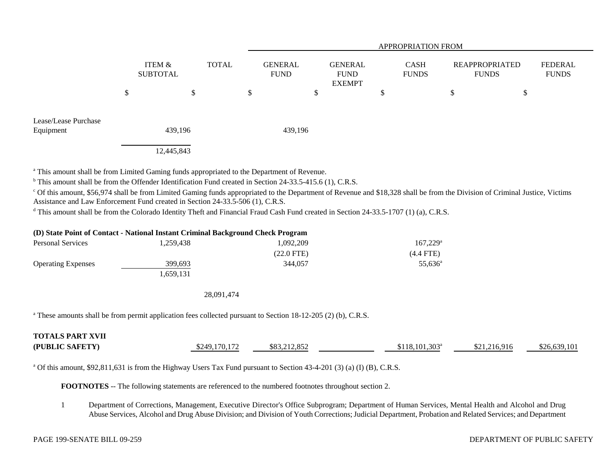|                                   |                                           | <b>APPROPRIATION FROM</b>     |                                                |                             |                                |                         |  |  |  |
|-----------------------------------|-------------------------------------------|-------------------------------|------------------------------------------------|-----------------------------|--------------------------------|-------------------------|--|--|--|
|                                   | ITEM &<br><b>TOTAL</b><br><b>SUBTOTAL</b> | <b>GENERAL</b><br><b>FUND</b> | <b>GENERAL</b><br><b>FUND</b><br><b>EXEMPT</b> | <b>CASH</b><br><b>FUNDS</b> | REAPPROPRIATED<br><b>FUNDS</b> | FEDERAL<br><b>FUNDS</b> |  |  |  |
|                                   | \$<br>\$                                  | \$                            | \$                                             | ۰D                          | \$                             | \$                      |  |  |  |
| Lease/Lease Purchase<br>Equipment | 439,196                                   | 439,196                       |                                                |                             |                                |                         |  |  |  |
|                                   | 12,445,843                                |                               |                                                |                             |                                |                         |  |  |  |

<sup>a</sup> This amount shall be from Limited Gaming funds appropriated to the Department of Revenue.

<sup>b</sup> This amount shall be from the Offender Identification Fund created in Section 24-33.5-415.6 (1), C.R.S.

<sup>c</sup> Of this amount, \$56,974 shall be from Limited Gaming funds appropriated to the Department of Revenue and \$18,328 shall be from the Division of Criminal Justice, Victims Assistance and Law Enforcement Fund created in Section 24-33.5-506 (1), C.R.S.

<sup>d</sup> This amount shall be from the Colorado Identity Theft and Financial Fraud Cash Fund created in Section 24-33.5-1707 (1) (a), C.R.S.

| (D) State Point of Contact - National Instant Criminal Background Check Program |           |                      |                     |  |  |  |  |  |
|---------------------------------------------------------------------------------|-----------|----------------------|---------------------|--|--|--|--|--|
| Personal Services                                                               | 1.259.438 | 1.092.209            | $167.229^{\circ}$   |  |  |  |  |  |
|                                                                                 |           | $(22.0 \text{ FTE})$ | $(4.4$ FTE)         |  |  |  |  |  |
| <b>Operating Expenses</b>                                                       | 399.693   | 344,057              | 55.636 <sup>a</sup> |  |  |  |  |  |
|                                                                                 | 1.659.131 |                      |                     |  |  |  |  |  |

28,091,474

<sup>a</sup> These amounts shall be from permit application fees collected pursuant to Section 18-12-205 (2) (b), C.R.S.

| <b>TOTALS PART XVII</b> |               |              |                             |              |              |
|-------------------------|---------------|--------------|-----------------------------|--------------|--------------|
| (PUBLIC SAFETY)         | \$249,170,172 | \$83,212,852 | $$118.101.303$ <sup>a</sup> | \$21,216,916 | \$26,639,101 |

<sup>a</sup> Of this amount, \$92,811,631 is from the Highway Users Tax Fund pursuant to Section 43-4-201 (3) (a) (I) (B), C.R.S.

**FOOTNOTES** -- The following statements are referenced to the numbered footnotes throughout section 2.

1 Department of Corrections, Management, Executive Director's Office Subprogram; Department of Human Services, Mental Health and Alcohol and Drug Abuse Services, Alcohol and Drug Abuse Division; and Division of Youth Corrections; Judicial Department, Probation and Related Services; and Department